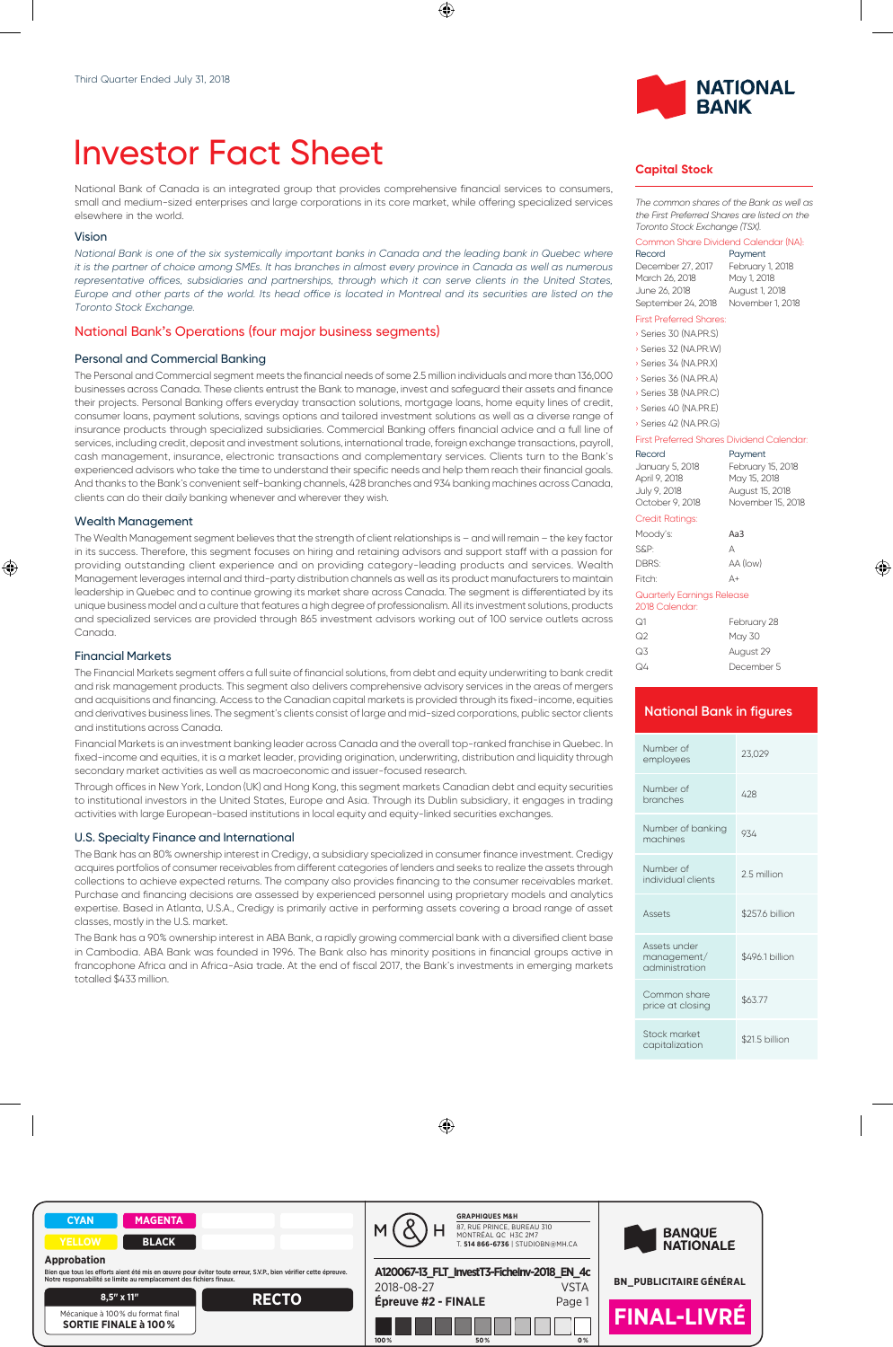# Investor Fact Sheet

National Bank of Canada is an integrated group that provides comprehensive financial services to consumers, small and medium-sized enterprises and large corporations in its core market, while offering specialized services elsewhere in the world.

#### Vision

*National Bank is one of the six systemically important banks in Canada and the leading bank in Quebec where it is the partner of choice among SMEs. It has branches in almost every province in Canada as well as numerous* representative offices, subsidiaries and partnerships, through which it can serve clients in the United States, *Europe and other parts of the world. Its head office is located in Montreal and its securities are listed on the Toronto Stock Exchange.*

#### National Bank's Operations (four major business segments)

#### Personal and Commercial Banking

The Personal and Commercial segment meets the financial needs of some 2.5 million individuals and more than 136,000 businesses across Canada. These clients entrust the Bank to manage, invest and safeguard their assets and finance their projects. Personal Banking offers everyday transaction solutions, mortgage loans, home equity lines of credit, consumer loans, payment solutions, savings options and tailored investment solutions as well as a diverse range of insurance products through specialized subsidiaries. Commercial Banking offers financial advice and a full line of services, including credit, deposit and investment solutions, international trade, foreign exchange transactions, payroll, cash management, insurance, electronic transactions and complementary services. Clients turn to the Bank's experienced advisors who take the time to understand their specific needs and help them reach their financial goals. And thanks to the Bank's convenient self-banking channels, 428 branches and 934 banking machines across Canada, clients can do their daily banking whenever and wherever they wish.

#### Wealth Management

The Wealth Management segment believes that the strength of client relationships is – and will remain – the key factor in its success. Therefore, this segment focuses on hiring and retaining advisors and support staff with a passion for providing outstanding client experience and on providing category-leading products and services. Wealth Management leverages internal and third-party distribution channels as well as its product manufacturers to maintain leadership in Quebec and to continue growing its market share across Canada. The segment is differentiated by its unique business model and a culture that features a high degree of professionalism. All its investment solutions, products and specialized services are provided through 865 investment advisors working out of 100 service outlets across Canada.

#### Financial Markets

The Financial Markets segment offers a full suite of financial solutions, from debt and equity underwriting to bank credit and risk management products. This segment also delivers comprehensive advisory services in the areas of mergers and acquisitions and financing. Access to the Canadian capital markets is provided through its fixed-income, equities and derivatives business lines. The segment's clients consist of large and mid-sized corporations, public sector clients and institutions across Canada.

Financial Markets is an investment banking leader across Canada and the overall top-ranked franchise in Quebec. In fixed-income and equities, it is a market leader, providing origination, underwriting, distribution and liquidity through secondary market activities as well as macroeconomic and issuer-focused research.

Through offices in New York, London (UK) and Hong Kong, this segment markets Canadian debt and equity securities to institutional investors in the United States, Europe and Asia. Through its Dublin subsidiary, it engages in trading activities with large European-based institutions in local equity and equity-linked securities exchanges.

#### U.S. Specialty Finance and International

The Bank has an 80% ownership interest in Credigy, a subsidiary specialized in consumer finance investment. Credigy acquires portfolios of consumer receivables from different categories of lenders and seeks to realize the assets through collections to achieve expected returns. The company also provides financing to the consumer receivables market. Purchase and financing decisions are assessed by experienced personnel using proprietary models and analytics expertise. Based in Atlanta, U.S.A., Credigy is primarily active in performing assets covering a broad range of asset classes, mostly in the U.S. market.

The Bank has a 90% ownership interest in ABA Bank, a rapidly growing commercial bank with a diversified client base in Cambodia. ABA Bank was founded in 1996. The Bank also has minority positions in financial groups active in francophone Africa and in Africa-Asia trade. At the end of fiscal 2017, the Bank's investments in emerging markets totalled \$433 million.



### **Capital Stock**

*The common shares of the Bank as well as the First Preferred Shares are listed on the Toronto Stock Exchange (TSX).*

#### Common Share Dividend Calendar (NA):

| Record             | Payment          |
|--------------------|------------------|
| December 27, 2017  | February 1, 2018 |
| March 26, 2018     | May 1, 2018      |
| June 26, 2018      | August 1, 2018   |
| September 24, 2018 | November 1, 2018 |

#### First Preferred Shares:

| Series 30 (NA.PR.S) |
|---------------------|
| Series 32 (NA.PR.W) |
| Series 34 (NA.PR.X) |
| Series 36 (NA.PR.A) |
| Series 38 (NA.PR.C) |
| Series 40 (NA.PR.E) |
| Series 42 (NA PRG)  |

#### First Preferred Shares Dividend Calendar:

| FINI FIRIRU JINIRN DINGRIN CAJRINAJI         |                   |
|----------------------------------------------|-------------------|
| Record                                       | Payment           |
| January 5, 2018                              | February 15, 2018 |
| April 9, 2018                                | May 15, 2018      |
| July 9, 2018                                 | August 15, 2018   |
| October 9, 2018                              | November 15, 2018 |
| <b>Credit Ratings:</b>                       |                   |
| Moody's:                                     | Aa3               |
| S&P:                                         | А                 |
| DBRS:                                        | AA (low)          |
| Fitch:                                       | Д+                |
| Quarterly Earnings Release<br>2018 Calendar: |                   |
|                                              |                   |

| ೧1 | February 28 |
|----|-------------|
| ೧2 | May 30      |
| Q3 | August 29   |
| Q4 | December 5  |

## **National Bank in figures** Number of employees 23,029 Number of Number of 428 Number of banking Number of banking 934 Number of individual clients 2.5 million Assets \$257.6 billion Assets under management/ administration \$496.1 billion

| .<br>price at closing          | \$63.77        |
|--------------------------------|----------------|
| Stock market<br>capitalization | \$21.5 billion |

Common share

Stock